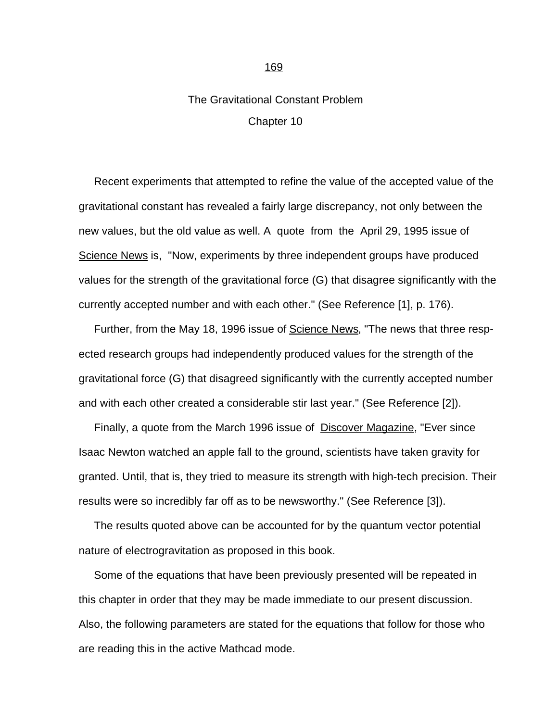## The Gravitational Constant Problem Chapter 10

 Recent experiments that attempted to refine the value of the accepted value of the gravitational constant has revealed a fairly large discrepancy, not only between the new values, but the old value as well. A quote from the April 29, 1995 issue of Science News is, "Now, experiments by three independent groups have produced values for the strength of the gravitational force (G) that disagree significantly with the currently accepted number and with each other." (See Reference [1], p. 176).

Further, from the May 18, 1996 issue of Science News, "The news that three respected research groups had independently produced values for the strength of the gravitational force (G) that disagreed significantly with the currently accepted number and with each other created a considerable stir last year." (See Reference [2]).

 Finally, a quote from the March 1996 issue of Discover Magazine, "Ever since Isaac Newton watched an apple fall to the ground, scientists have taken gravity for granted. Until, that is, they tried to measure its strength with high-tech precision. Their results were so incredibly far off as to be newsworthy." (See Reference [3]).

 The results quoted above can be accounted for by the quantum vector potential nature of electrogravitation as proposed in this book.

 Some of the equations that have been previously presented will be repeated in this chapter in order that they may be made immediate to our present discussion. Also, the following parameters are stated for the equations that follow for those who are reading this in the active Mathcad mode.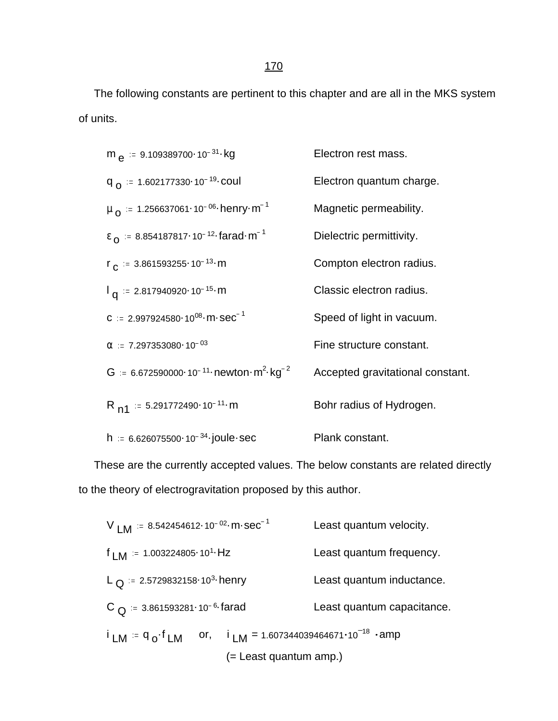The following constants are pertinent to this chapter and are all in the MKS system of units.

$$
m_{e} := 9.109389700 \cdot 10^{-31} \cdot kg
$$
\n
$$
F_{o} := 1.602177330 \cdot 10^{-19} \cdot \text{coul}
$$
\n
$$
m_{o} := 1.256637061 \cdot 10^{-06} \cdot \text{henry} \cdot m^{-1}
$$
\n
$$
F_{o} := 8.854187817 \cdot 10^{-12} \cdot \text{farad} \cdot m^{-1}
$$
\n
$$
F_{o} := 3.861593255 \cdot 10^{-13} \cdot m
$$
\n
$$
F_{o} := 3.861593255 \cdot 10^{-13} \cdot m
$$
\n
$$
F_{o} := 2.817940920 \cdot 10^{-15} \cdot m
$$
\n
$$
G := 2.997924580 \cdot 10^{08} \cdot m \cdot sec^{-1}
$$
\n
$$
G := 7.297353080 \cdot 10^{-03}
$$
\n
$$
G := 6.672590000 \cdot 10^{-11} \cdot newton \cdot m^{2} \cdot kg^{-2}
$$
\n
$$
F_{o} = 6.672590000 \cdot 10^{-11} \cdot m
$$
\n
$$
F_{o} = 6.672590000 \cdot 10^{-11} \cdot m
$$
\n
$$
F_{o} = 6.672590000 \cdot 10^{-11} \cdot m
$$
\n
$$
F_{o} = 6.626075500 \cdot 10^{-34} \cdot joule \cdot sec
$$
\n
$$
F_{o} = 6.626075500 \cdot 10^{-34} \cdot joule \cdot sec
$$
\n
$$
F_{o} = 6.626075500 \cdot 10^{-34} \cdot joule \cdot sec
$$
\n
$$
F_{o} = 6.626075500 \cdot 10^{-34} \cdot joule \cdot sec
$$
\n
$$
F_{o} = 6.626075500 \cdot 10^{-34} \cdot joule \cdot sec
$$
\n
$$
F_{o} = 6.
$$

 These are the currently accepted values. The below constants are related directly to the theory of electrogravitation proposed by this author.

$$
V_{LM} = 8.542454612 \cdot 10^{-02} \cdot m \cdot sec^{-1}
$$
 Least quantum velocity.  
\n
$$
f_{LM} = 1.003224805 \cdot 10^{1} \cdot Hz
$$
 Least quantum frequency.  
\n
$$
L_Q = 2.5729832158 \cdot 10^{3} \cdot henv
$$
Least quantum inductance.  
\n
$$
C_Q = 3.861593281 \cdot 10^{-6} \cdot farad
$$
Least quantum capacitance.  
\n
$$
i_{LM} = q_o \cdot f_{LM}
$$
 or,  $i_{LM} = 1.607344039464671 \cdot 10^{-18} \cdot amp$   
\n(= Least quantum amp.)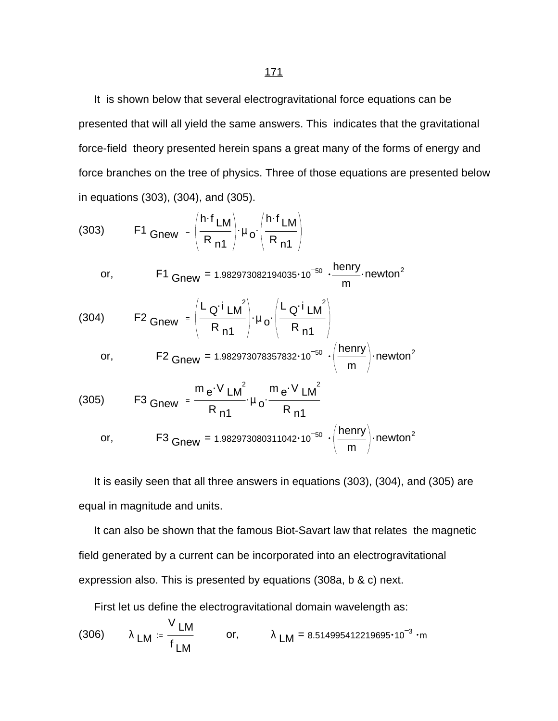It is shown below that several electrogravitational force equations can be presented that will all yield the same answers. This indicates that the gravitational force-field theory presented herein spans a great many of the forms of energy and force branches on the tree of physics. Three of those equations are presented below in equations (303), (304), and (305).

(303) F1 Gnew := 
$$
\left(\frac{h \cdot f_{LM}}{R_{n1}}\right) \cdot \mu_o \cdot \left(\frac{h \cdot f_{LM}}{R_{n1}}\right)
$$
  
\nor, F1 Gnew = 1.982973082194035·10<sup>-50</sup>  $\cdot \frac{henry}{m}$  newton<sup>2</sup>  
\n(304) F2 Gnew =  $\left(\frac{L_Q \cdot i_{LM}^2}{R_{n1}}\right) \cdot \mu_o \cdot \left(\frac{L_Q \cdot i_{LM}^2}{R_{n1}}\right)$   
\nor, F2 Gnew = 1.982973078357832·10<sup>-50</sup>  $\cdot \left(\frac{henry}{m}\right)$  newton<sup>2</sup>  
\n(305) F3 Gnew =  $\frac{m_e \cdot V_{LM}^2}{R_{n1}} \cdot \mu_o \cdot \frac{m_e \cdot V_{LM}^2}{R_{n1}}$   
\nor, F3 Gnew = 1.982973080311042·10<sup>-50</sup>  $\cdot \left(\frac{henry}{m}\right)$  newton<sup>2</sup>

 It is easily seen that all three answers in equations (303), (304), and (305) are equal in magnitude and units.

 It can also be shown that the famous Biot-Savart law that relates the magnetic field generated by a current can be incorporated into an electrogravitational expression also. This is presented by equations (308a, b & c) next.

First let us define the electrogravitational domain wavelength as:

(306) 
$$
\lambda_{LM} = \frac{V_{LM}}{f_{LM}}
$$
 or,  $\lambda_{LM} = 8.514995412219695 \cdot 10^{-3} \cdot m$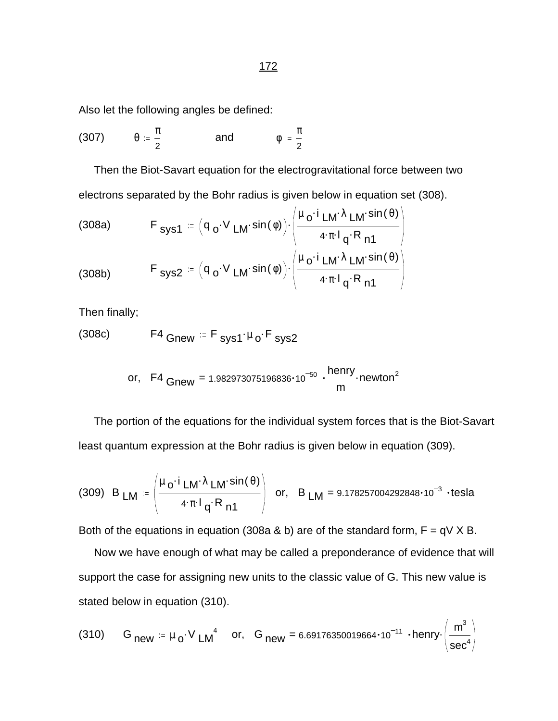Also let the following angles be defined:

$$
(307) \qquad \theta := \frac{\pi}{2} \qquad \qquad \text{and} \qquad \qquad \phi := \frac{\pi}{2}
$$

 Then the Biot-Savart equation for the electrogravitational force between two electrons separated by the Bohr radius is given below in equation set (308).

(308a) 
$$
F_{sys1} = (q_o \cdot V_{LM} \cdot \sin(\phi)) \cdot \left( \frac{\mu_o \cdot i_{LM} \cdot \lambda_{LM} \cdot \sin(\theta)}{4 \cdot \pi \cdot l_q \cdot R_{n1}} \right)
$$

$$
F_{sys2} = (q_o \cdot V_{LM} \cdot \sin(\phi)) \cdot \left( \frac{\mu_o \cdot i_{LM} \cdot \lambda_{LM} \cdot \sin(\theta)}{4 \cdot \pi \cdot l_q \cdot R_{n1}} \right)
$$

Then finally;

$$
(308c) \tF4 \tGnew = F \tSys1· \mu o \tF \tSys2
$$

or, F4 
$$
Gnew = 1.982973075196836 \cdot 10^{-50} \cdot \frac{henry}{m} \cdot newton^2
$$

 The portion of the equations for the individual system forces that is the Biot-Savart least quantum expression at the Bohr radius is given below in equation (309).

(309) B 
$$
LM = \left( \frac{\mu_0 \cdot i LM \cdot \lambda LM \cdot \sin(\theta)}{4 \cdot \pi \cdot l_q \cdot R_{n1}} \right)
$$
 or, B  $LM = 9.178257004292848 \cdot 10^{-3} \cdot \text{tesla}$ 

Both of the equations in equation (308a & b) are of the standard form,  $F = qV X B$ .

 Now we have enough of what may be called a preponderance of evidence that will support the case for assigning new units to the classic value of G. This new value is stated below in equation (310).

(310) G<sub>new</sub> = 
$$
\mu_0 \cdot V
$$
 LM<sup>4</sup> or, G<sub>new</sub> = 6.69176350019664·10<sup>-11</sup>·henny $\left(\frac{m^3}{sec^4}\right)$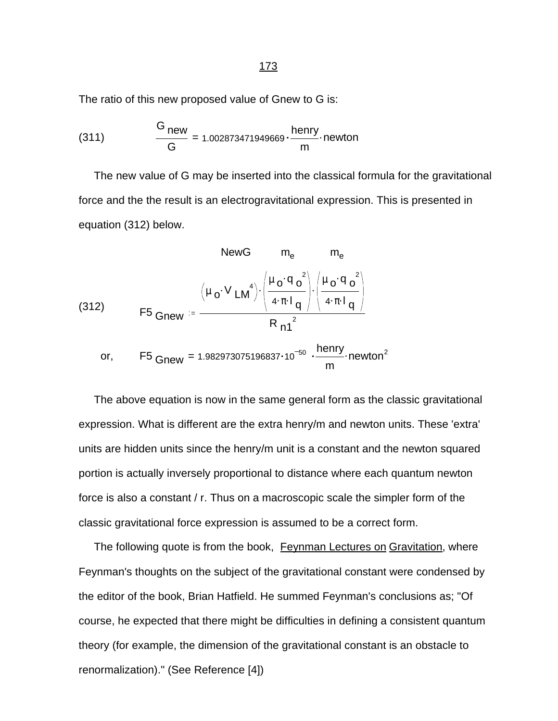The ratio of this new proposed value of Gnew to G is:

$$
(311) \qquad \frac{G_{new}}{G} = 1.002873471949669 \cdot \frac{henry}{m} \cdot newton
$$

 The new value of G may be inserted into the classical formula for the gravitational force and the the result is an electrogravitational expression. This is presented in equation (312) below.

(312)  
\n
$$
NewG \t m_{e} \t m_{e}
$$
\n
$$
m_{e}
$$
\n
$$
m_{e}
$$
\n(312)  
\n
$$
F5 \t Gnew := \frac{(\mu_{o} \cdot V L M^{4}) \cdot \left(\frac{\mu_{o} \cdot q_{o}^{2}}{4 \cdot \pi \cdot l_{q}}\right) \cdot \left(\frac{\mu_{o} \cdot q_{o}^{2}}{4 \cdot \pi \cdot l_{q}}\right)}{R_{n1}^{2}}
$$
\n
$$
m
$$
\nor,\n
$$
F5 \t Gnew = 1.982973075196837 \cdot 10^{-50} \cdot \frac{henny}{m} \cdot newton^{2}
$$

 The above equation is now in the same general form as the classic gravitational expression. What is different are the extra henry/m and newton units. These 'extra' units are hidden units since the henry/m unit is a constant and the newton squared portion is actually inversely proportional to distance where each quantum newton force is also a constant / r. Thus on a macroscopic scale the simpler form of the classic gravitational force expression is assumed to be a correct form.

The following quote is from the book, Feynman Lectures on Gravitation, where Feynman's thoughts on the subject of the gravitational constant were condensed by the editor of the book, Brian Hatfield. He summed Feynman's conclusions as; "Of course, he expected that there might be difficulties in defining a consistent quantum theory (for example, the dimension of the gravitational constant is an obstacle to renormalization)." (See Reference [4])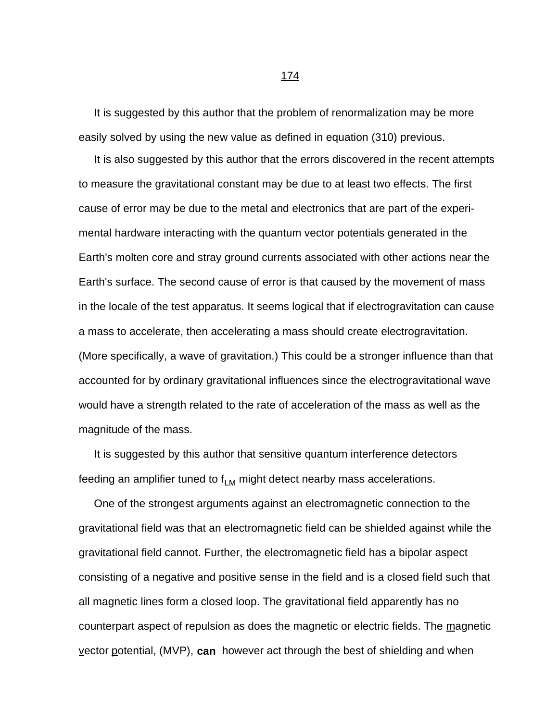It is suggested by this author that the problem of renormalization may be more easily solved by using the new value as defined in equation (310) previous.

 It is also suggested by this author that the errors discovered in the recent attempts to measure the gravitational constant may be due to at least two effects. The first cause of error may be due to the metal and electronics that are part of the experimental hardware interacting with the quantum vector potentials generated in the Earth's molten core and stray ground currents associated with other actions near the Earth's surface. The second cause of error is that caused by the movement of mass in the locale of the test apparatus. It seems logical that if electrogravitation can cause a mass to accelerate, then accelerating a mass should create electrogravitation. (More specifically, a wave of gravitation.) This could be a stronger influence than that accounted for by ordinary gravitational influences since the electrogravitational wave would have a strength related to the rate of acceleration of the mass as well as the magnitude of the mass.

 It is suggested by this author that sensitive quantum interference detectors feeding an amplifier tuned to  $f_{LM}$  might detect nearby mass accelerations.

 One of the strongest arguments against an electromagnetic connection to the gravitational field was that an electromagnetic field can be shielded against while the gravitational field cannot. Further, the electromagnetic field has a bipolar aspect consisting of a negative and positive sense in the field and is a closed field such that all magnetic lines form a closed loop. The gravitational field apparently has no counterpart aspect of repulsion as does the magnetic or electric fields. The magnetic vector potential, (MVP), **can** however act through the best of shielding and when

174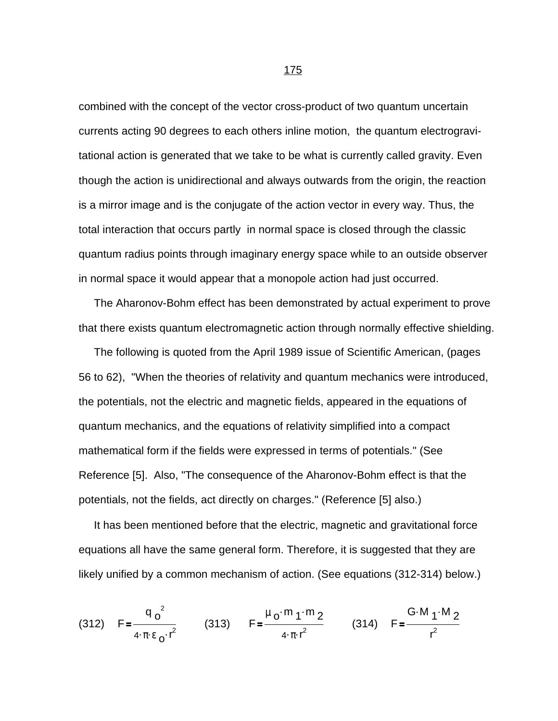combined with the concept of the vector cross-product of two quantum uncertain currents acting 90 degrees to each others inline motion, the quantum electrogravitational action is generated that we take to be what is currently called gravity. Even though the action is unidirectional and always outwards from the origin, the reaction is a mirror image and is the conjugate of the action vector in every way. Thus, the total interaction that occurs partly in normal space is closed through the classic quantum radius points through imaginary energy space while to an outside observer in normal space it would appear that a monopole action had just occurred.

 The Aharonov-Bohm effect has been demonstrated by actual experiment to prove that there exists quantum electromagnetic action through normally effective shielding.

 The following is quoted from the April 1989 issue of Scientific American, (pages 56 to 62), "When the theories of relativity and quantum mechanics were introduced, the potentials, not the electric and magnetic fields, appeared in the equations of quantum mechanics, and the equations of relativity simplified into a compact mathematical form if the fields were expressed in terms of potentials." (See Reference [5]. Also, "The consequence of the Aharonov-Bohm effect is that the potentials, not the fields, act directly on charges." (Reference [5] also.)

 It has been mentioned before that the electric, magnetic and gravitational force equations all have the same general form. Therefore, it is suggested that they are likely unified by a common mechanism of action. (See equations (312-314) below.)

(312) 
$$
F = \frac{q_0^2}{4 \pi \epsilon_0 r^2}
$$
 (313)  $F = \frac{\mu_0 m_1 m_2}{4 \pi r^2}$  (314)  $F = \frac{G \cdot M_1 M_2}{r^2}$ 

$$
\begin{array}{c}\n 175 \\
\hline\n \end{array}
$$